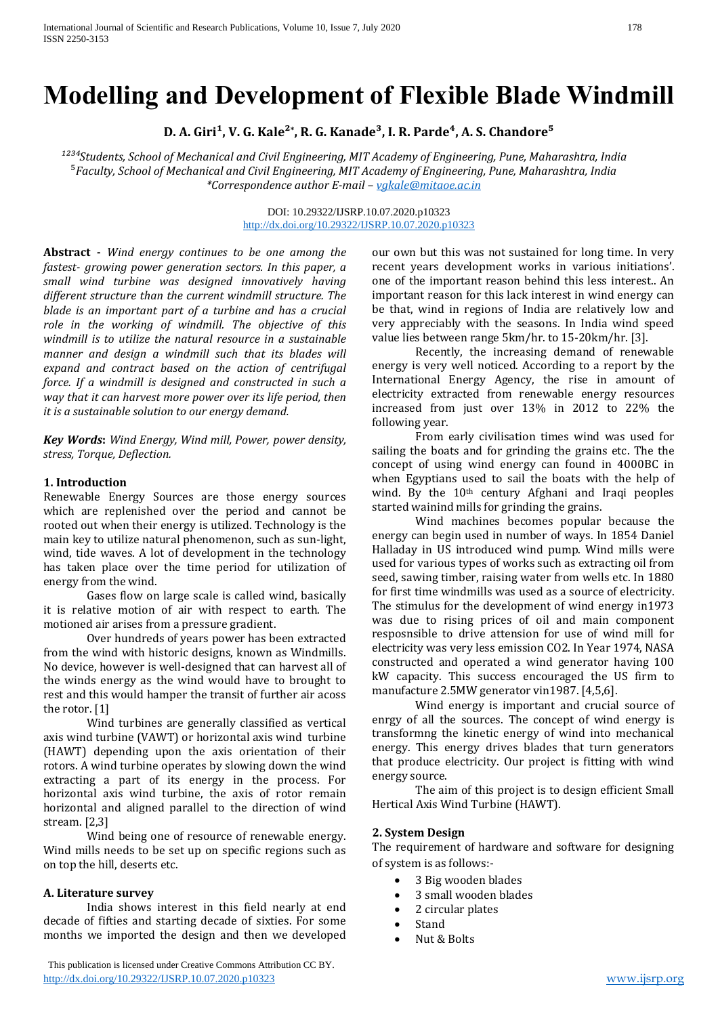# **Modelling and Development of Flexible Blade Windmill**

**D. A. Giri¹, V. G. Kale² \* , R. G. Kanade³, I. R. Parde⁴, A. S. Chandore⁵**

*¹²³⁴Students, School of Mechanical and Civil Engineering, MIT Academy of Engineering, Pune, Maharashtra, India*  ⁵*Faculty, School of Mechanical and Civil Engineering, MIT Academy of Engineering, Pune, Maharashtra, India \*Correspondence author E-mail – [vgkale@mitaoe.ac.in](mailto:vgkale@mitaoe.ac.in)*

> DOI: 10.29322/IJSRP.10.07.2020.p10323 <http://dx.doi.org/10.29322/IJSRP.10.07.2020.p10323>

**Abstract -** *Wind energy continues to be one among the fastest‐ growing power generation sectors. In this paper, a small wind turbine was designed innovatively having different structure than the current windmill structure. The blade is an important part of a turbine and has a crucial role in the working of windmill. The objective of this windmill is to utilize the natural resource in a sustainable manner and design a windmill such that its blades will expand and contract based on the action of centrifugal force. If a windmill is designed and constructed in such a way that it can harvest more power over its life period, then it is a sustainable solution to our energy demand.*

*Key Words***:** *Wind Energy, Wind mill, Power, power density, stress, Torque, Deflection.*

## **1. Introduction**

Renewable Energy Sources are those energy sources which are replenished over the period and cannot be rooted out when their energy is utilized. Technology is the main key to utilize natural phenomenon, such as sun-light, wind, tide waves. A lot of development in the technology has taken place over the time period for utilization of energy from the wind.

Gases flow on large scale is called wind, basically it is relative motion of air with respect to earth. The motioned air arises from a pressure gradient.

Over hundreds of years power has been extracted from the wind with historic designs, known as Windmills. No device, however is well-designed that can harvest all of the winds energy as the wind would have to brought to rest and this would hamper the transit of further air acoss the rotor. [1]

Wind turbines are generally classified as vertical axis wind turbine (VAWT) or horizontal axis wind turbine (HAWT) depending upon the axis orientation of their rotors. A wind turbine operates by slowing down the wind extracting a part of its energy in the process. For horizontal axis wind turbine, the axis of rotor remain horizontal and aligned parallel to the direction of wind stream. [2,3]

Wind being one of resource of renewable energy. Wind mills needs to be set up on specific regions such as on top the hill, deserts etc.

## **A. Literature survey**

India shows interest in this field nearly at end decade of fifties and starting decade of sixties. For some months we imported the design and then we developed our own but this was not sustained for long time. In very recent years development works in various initiations'. one of the important reason behind this less interest.. An important reason for this lack interest in wind energy can be that, wind in regions of India are relatively low and very appreciably with the seasons. In India wind speed value lies between range 5km/hr. to 15-20km/hr. [3].

Recently, the increasing demand of renewable energy is very well noticed. According to a report by the International Energy Agency, the rise in amount of electricity extracted from renewable energy resources increased from just over 13% in 2012 to 22% the following year.

From early civilisation times wind was used for sailing the boats and for grinding the grains etc. The the concept of using wind energy can found in 4000BC in when Egyptians used to sail the boats with the help of wind. By the 10<sup>th</sup> century Afghani and Iraqi peoples started wainind mills for grinding the grains.

Wind machines becomes popular because the energy can begin used in number of ways. In 1854 Daniel Halladay in US introduced wind pump. Wind mills were used for various types of works such as extracting oil from seed, sawing timber, raising water from wells etc. In 1880 for first time windmills was used as a source of electricity. The stimulus for the development of wind energy in1973 was due to rising prices of oil and main component resposnsible to drive attension for use of wind mill for electricity was very less emission CO2. In Year 1974, NASA constructed and operated a wind generator having 100 kW capacity. This success encouraged the US firm to manufacture 2.5MW generator vin1987. [4,5,6].

Wind energy is important and crucial source of enrgy of all the sources. The concept of wind energy is transformng the kinetic energy of wind into mechanical energy. This energy drives blades that turn generators that produce electricity. Our project is fitting with wind energy source.

The aim of this project is to design efficient Small Hertical Axis Wind Turbine (HAWT).

## **2. System Design**

The requirement of hardware and software for designing of system is as follows:-

- 3 Big wooden blades
- 3 small wooden blades
- 2 circular plates
- Stand
- Nut & Bolts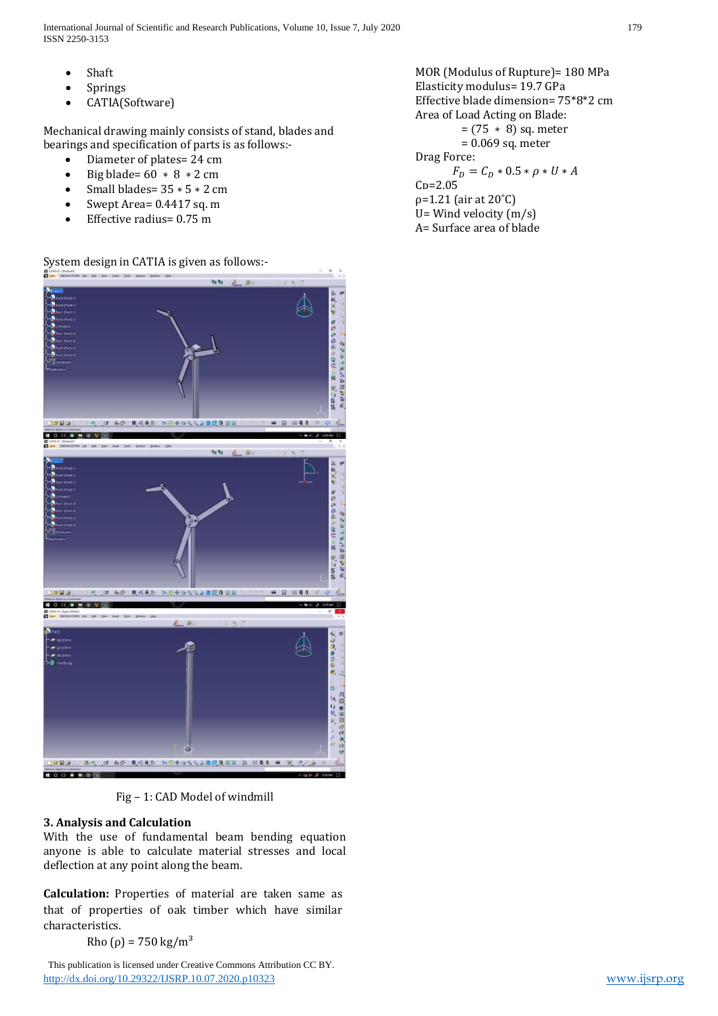International Journal of Scientific and Research Publications, Volume 10, Issue 7, July 2020 179 ISSN 2250-3153

- Shaft
- Springs
- CATIA(Software)

Mechanical drawing mainly consists of stand, blades and bearings and specification of parts is as follows:-

- Diameter of plates= 24 cm
- Big blade=  $60 \div 8 \div 2$  cm
- Small blades =  $35 * 5 * 2$  cm
- Swept Area= 0.4417 sq. m
- Effective radius= 0.75 m

System design in CATIA is given as follows:-

解解 & 景

MOR (Modulus of Rupture)= 180 MPa Elasticity modulus= 19.7 GPa Effective blade dimension= 75\*8\*2 cm Area of Load Acting on Blade: = (75 ∗ 8) sq. meter = 0.069 sq. meter Drag Force:  $F_D = C_D * 0.5 * \rho * U * A$  $C<sub>D</sub>=2.05$ ρ=1.21 (air at 20˚C) U= Wind velocity (m/s)

A= Surface area of blade

Fig – 1: CAD Model of windmill **3. Analysis and Calculation**

With the use of fundamental beam bending equation anyone is able to calculate material stresses and local deflection at any point along the beam.

**Calculation:** Properties of material are taken same as that of properties of oak timber which have similar characteristics.

## Rho (ρ) = 750 kg/m<sup>3</sup>

 This publication is licensed under Creative Commons Attribution CC BY. <http://dx.doi.org/10.29322/IJSRP.10.07.2020.p10323> [www.ijsrp.org](http://ijsrp.org/)

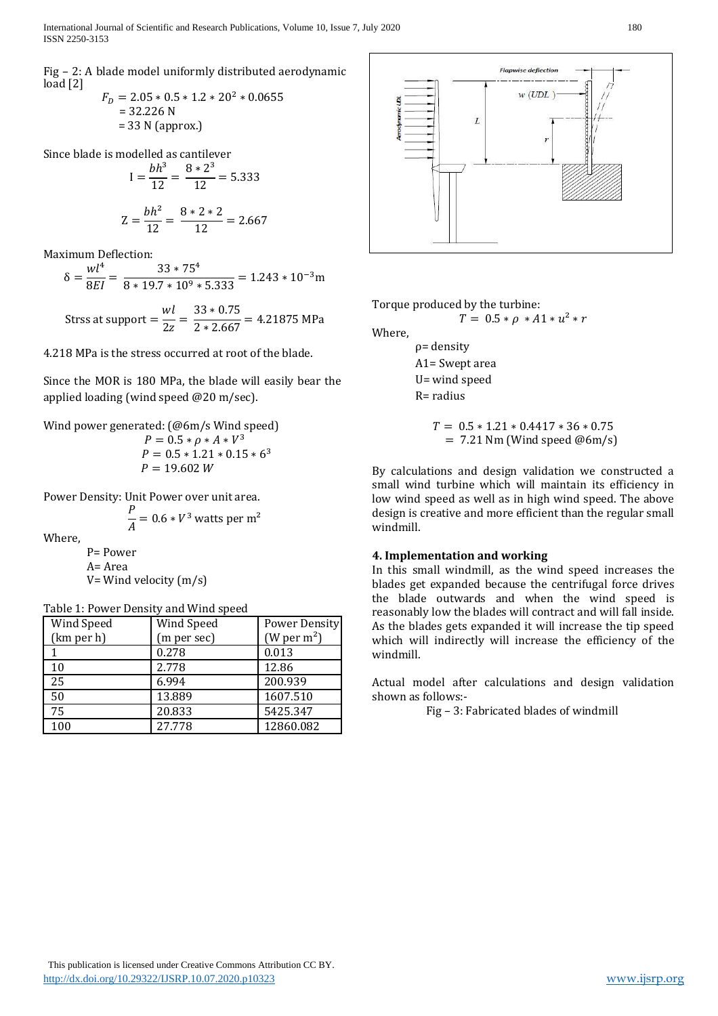International Journal of Scientific and Research Publications, Volume 10, Issue 7, July 2020 180 ISSN 2250-3153

Fig – 2: A blade model uniformly distributed aerodynamic load [2]

$$
F_D = 2.05 * 0.5 * 1.2 * 20^2 * 0.0655
$$
  
= 32.226 N  
= 33 N (approx.)

Since blade is modelled as cantilever

$$
I = \frac{bh^3}{12} = \frac{8 \times 2^3}{12} = 5.333
$$

$$
Z = \frac{bh^2}{12} = \frac{8 \times 2 \times 2}{12} = 2.667
$$

Maximum Deflection:

$$
\delta = \frac{wl^4}{8EI} = \frac{33 * 75^4}{8 * 19.7 * 10^9 * 5.333} = 1.243 * 10^{-3} \text{m}
$$

$$
Strss at support = \frac{wl}{2z} = \frac{33 * 0.75}{2 * 2.667} = 4.21875 MPa
$$

4.218 MPa is the stress occurred at root of the blade.

Since the MOR is 180 MPa, the blade will easily bear the applied loading (wind speed @20 m/sec).

Wind power generated: (@6m/s Wind speed)

 $P = 0.5 * \rho * A * V^3$  $P = 0.5 * 1.21 * 0.15 * 6<sup>3</sup>$  $P = 19.602 W$ 

Power Density: Unit Power over unit area.

$$
\frac{P}{A} = 0.6 \times V^3
$$
 watts per m<sup>2</sup>

Where,

P= Power A= Area V= Wind velocity (m/s)

|  | Table 1: Power Density and Wind speed |  |  |
|--|---------------------------------------|--|--|
|  |                                       |  |  |

| Wind Speed | Wind Speed  | <b>Power Density</b>  |
|------------|-------------|-----------------------|
| (km per h) | (m per sec) | $(W \text{ per m}^2)$ |
|            | 0.278       | 0.013                 |
| 10         | 2.778       | 12.86                 |
| 25         | 6.994       | 200.939               |
| 50         | 13.889      | 1607.510              |
| 75         | 20.833      | 5425.347              |
| 100        | 27.778      | 12860.082             |





 $T = 0.5 * \rho * A1 * u^2 * r$ 

Where,

ρ= density A1= Swept area U= wind speed R= radius

$$
T = 0.5 * 1.21 * 0.4417 * 36 * 0.75
$$
  
= 7.21 Nm (Wind speed @6m/s)

By calculations and design validation we constructed a small wind turbine which will maintain its efficiency in low wind speed as well as in high wind speed. The above design is creative and more efficient than the regular small windmill.

## **4. Implementation and working**

In this small windmill, as the wind speed increases the blades get expanded because the centrifugal force drives the blade outwards and when the wind speed is reasonably low the blades will contract and will fall inside. As the blades gets expanded it will increase the tip speed which will indirectly will increase the efficiency of the windmill.

Actual model after calculations and design validation shown as follows:-

Fig – 3: Fabricated blades of windmill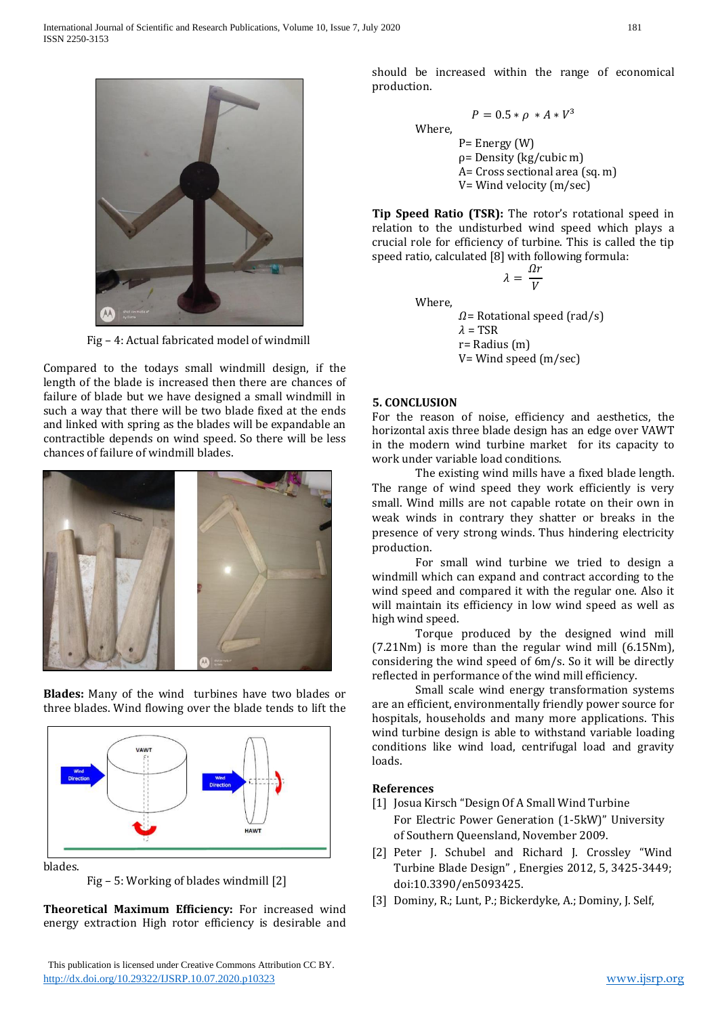

Fig – 4: Actual fabricated model of windmill

Compared to the todays small windmill design, if the length of the blade is increased then there are chances of failure of blade but we have designed a small windmill in such a way that there will be two blade fixed at the ends and linked with spring as the blades will be expandable an contractible depends on wind speed. So there will be less chances of failure of windmill blades.



**Blades:** Many of the wind turbines have two blades or three blades. Wind flowing over the blade tends to lift the



Fig – 5: Working of blades windmill [2]

**Theoretical Maximum Efficiency:** For increased wind energy extraction High rotor efficiency is desirable and

 This publication is licensed under Creative Commons Attribution CC BY. <http://dx.doi.org/10.29322/IJSRP.10.07.2020.p10323> [www.ijsrp.org](http://ijsrp.org/)

should be increased within the range of economical production.

 $P = 0.5 * \rho * A * V^3$ 

Where,

P= Energy (W) ρ= Density (kg/cubic m) A= Cross sectional area (sq. m) V= Wind velocity (m/sec)

**Tip Speed Ratio (TSR):** The rotor's rotational speed in relation to the undisturbed wind speed which plays a crucial role for efficiency of turbine. This is called the tip speed ratio, calculated [8] with following formula:

$$
\lambda = \frac{\Omega r}{V}
$$

Where,

 $\Omega$  = Rotational speed (rad/s)  $\lambda = TSR$ r= Radius (m) V= Wind speed (m/sec)

## **5. CONCLUSION**

For the reason of noise, efficiency and aesthetics, the horizontal axis three blade design has an edge over VAWT in the modern wind turbine market for its capacity to work under variable load conditions.

The existing wind mills have a fixed blade length. The range of wind speed they work efficiently is very small. Wind mills are not capable rotate on their own in weak winds in contrary they shatter or breaks in the presence of very strong winds. Thus hindering electricity production.

For small wind turbine we tried to design a windmill which can expand and contract according to the wind speed and compared it with the regular one. Also it will maintain its efficiency in low wind speed as well as high wind speed.

Torque produced by the designed wind mill (7.21Nm) is more than the regular wind mill (6.15Nm), considering the wind speed of 6m/s. So it will be directly reflected in performance of the wind mill efficiency.

Small scale wind energy transformation systems are an efficient, environmentally friendly power source for hospitals, households and many more applications. This wind turbine design is able to withstand variable loading conditions like wind load, centrifugal load and gravity loads.

## **References**

- [1] Josua Kirsch "Design Of A Small Wind Turbine For Electric Power Generation (1-5kW)" University of Southern Queensland, November 2009.
- [2] Peter J. Schubel and Richard J. Crossley "Wind Turbine Blade Design" , Energies 2012, 5, 3425-3449; doi:10.3390/en5093425.
- [3] Dominy, R.; Lunt, P.; Bickerdyke, A.; Dominy, J. Self,